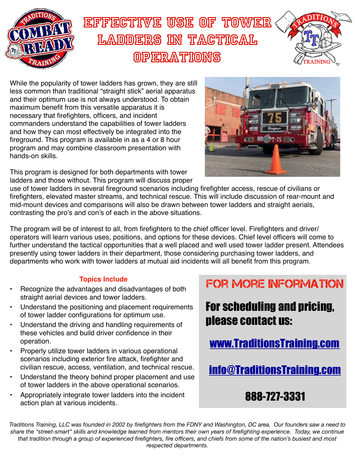

## Effective Use of Tower LADDERS IN TACTICAL operations



While the popularity of tower ladders has grown, they are still less common than traditional "straight stick" aerial apparatus and their optimum use is not always understood. To obtain maximum benefit from this versatile apparatus it is necessary that firefighters, officers, and incident commanders understand the capabilities of tower ladders and how they can most effectively be integrated into the fireground. This program is available in as a 4 or 8 hour program and may combine classroom presentation with hands-on skills.

This program is designed for both departments with tower ladders and those without. This program will discuss proper



use of tower ladders in several fireground scenarios including firefighter access, rescue of civilians or firefighters, elevated master streams, and technical rescue. This will include discussion of rear-mount and mid-mount devices and comparisons will also be drawn between tower ladders and straight aerials, contrasting the pro's and con's of each in the above situations.

The program will be of interest to all, from firefighters to the chief officer level. Firefighters and driver/ operators will learn various uses, positions, and options for these devices. Chief level officers will come to further understand the tactical opportunities that a well placed and well used tower ladder present. Attendees presently using tower ladders in their department, those considering purchasing tower ladders, and departments who work with tower ladders at mutual aid incidents will all benefit from this program.

## **Topics Include**

- Recognize the advantages and disadvantages of both straight aerial devices and tower ladders.
- Understand the positioning and placement requirements of tower ladder configurations for optimum use.
- Understand the driving and handling requirements of these vehicles and build driver confidence in their operation.
- Properly utilize tower ladders in various operational scenarios including exterior fire attack, firefighter and civilian rescue, access, ventilation, and technical rescue.
- Understand the theory behind proper placement and use of tower ladders in the above operational scenarios.
- Appropriately integrate tower ladders into the incident action plan at various incidents.

FOR MORE INFORMATION

For scheduling and pricing, please contact us:

[www.TraditionsTraining.com](http://www.TraditionsTraining.com)

[info@TraditionsTraining.com](mailto:info@TraditionsTraining.com)

## 888-727-3331

*Traditions Training, LLC was founded in 2002 by firefighters from the FDNY and Washington, DC area. Our founders saw a need to share the "street-smart" skills and knowledge learned from mentors their own years of firefighting experience. Today, we continue that tradition through a group of experienced firefighters, fire officers, and chiefs from some of the nation's busiest and most respected departments.*